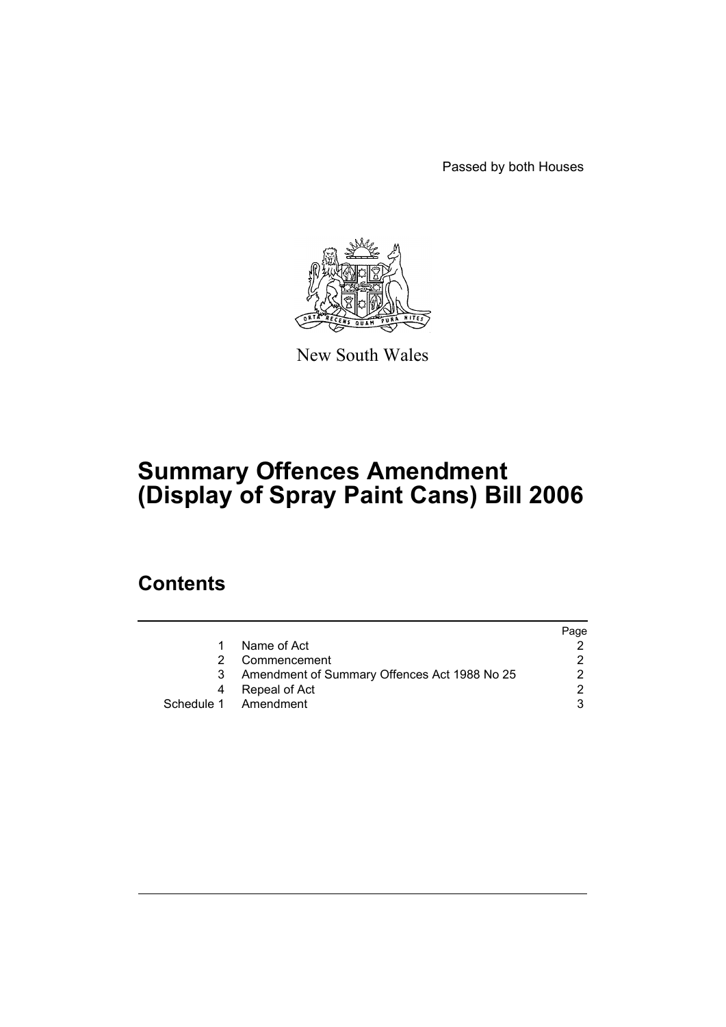Passed by both Houses



New South Wales

# **Summary Offences Amendment (Display of Spray Paint Cans) Bill 2006**

### **Contents**

|   |                                              | Page |
|---|----------------------------------------------|------|
| 1 | Name of Act                                  |      |
|   | Commencement                                 |      |
| 3 | Amendment of Summary Offences Act 1988 No 25 |      |
| 4 | Repeal of Act                                |      |
|   | Schedule 1 Amendment                         |      |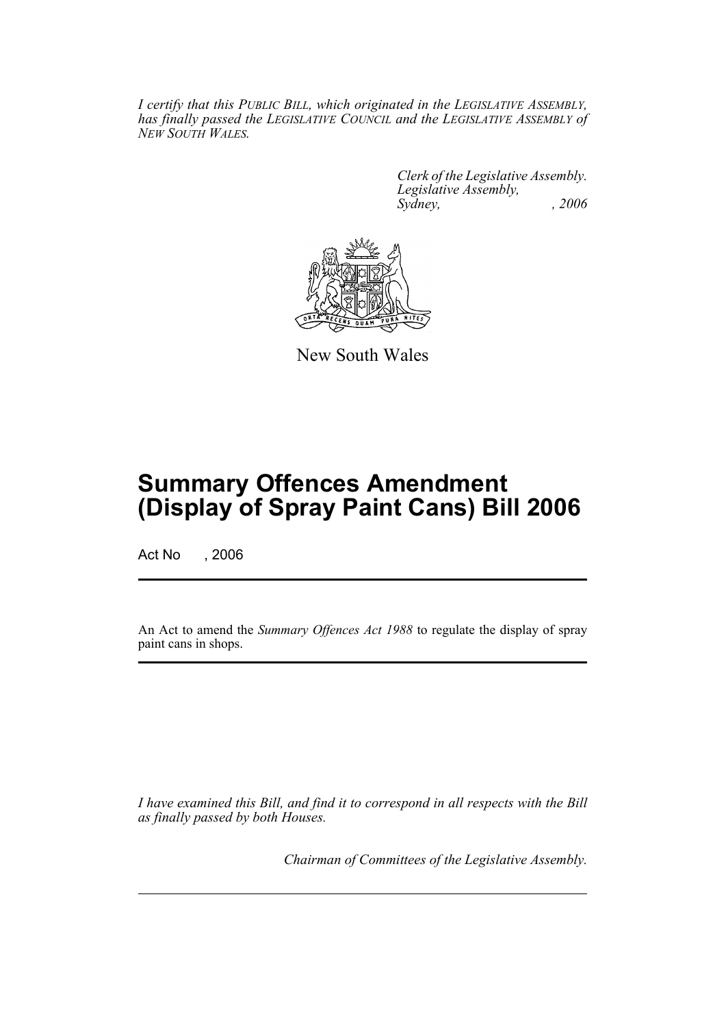*I certify that this PUBLIC BILL, which originated in the LEGISLATIVE ASSEMBLY, has finally passed the LEGISLATIVE COUNCIL and the LEGISLATIVE ASSEMBLY of NEW SOUTH WALES.*

> *Clerk of the Legislative Assembly. Legislative Assembly, Sydney, , 2006*



New South Wales

## **Summary Offences Amendment (Display of Spray Paint Cans) Bill 2006**

Act No , 2006

An Act to amend the *Summary Offences Act 1988* to regulate the display of spray paint cans in shops.

*I have examined this Bill, and find it to correspond in all respects with the Bill as finally passed by both Houses.*

*Chairman of Committees of the Legislative Assembly.*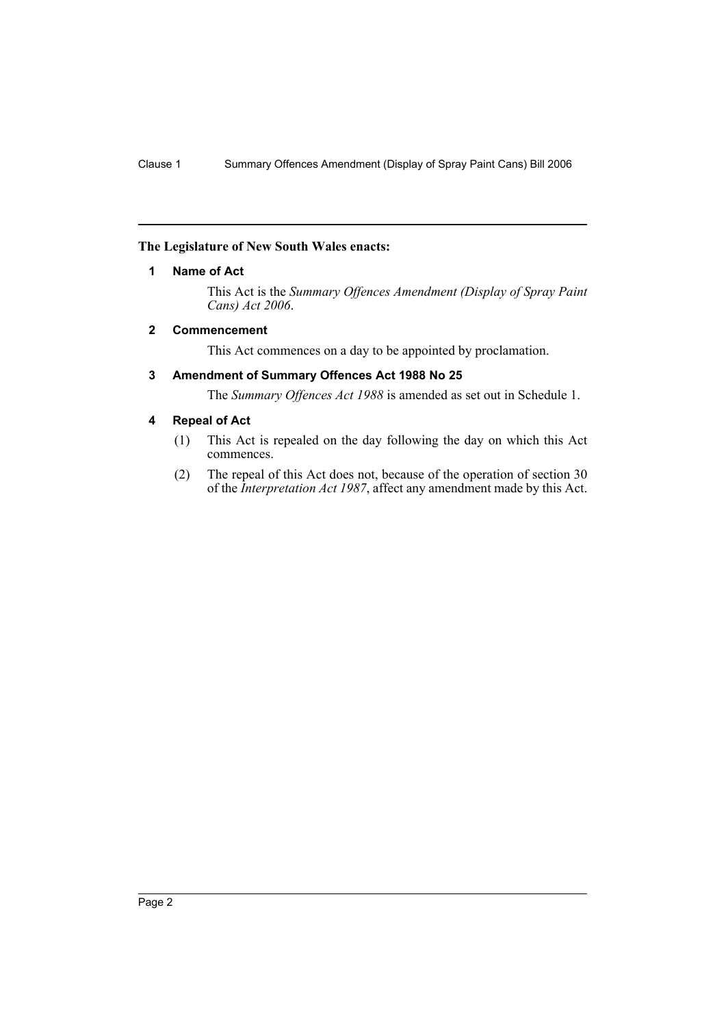#### **The Legislature of New South Wales enacts:**

#### **1 Name of Act**

This Act is the *Summary Offences Amendment (Display of Spray Paint Cans) Act 2006*.

#### **2 Commencement**

This Act commences on a day to be appointed by proclamation.

#### **3 Amendment of Summary Offences Act 1988 No 25**

The *Summary Offences Act 1988* is amended as set out in Schedule 1.

#### **4 Repeal of Act**

- (1) This Act is repealed on the day following the day on which this Act commences.
- (2) The repeal of this Act does not, because of the operation of section 30 of the *Interpretation Act 1987*, affect any amendment made by this Act.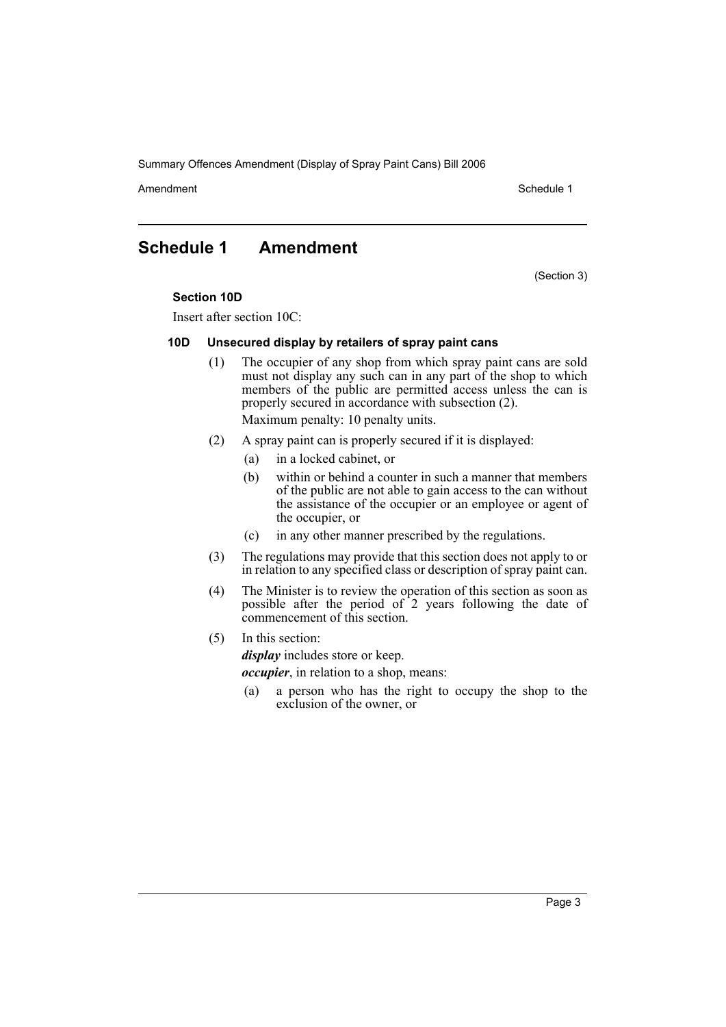Summary Offences Amendment (Display of Spray Paint Cans) Bill 2006

Amendment Schedule 1

### **Schedule 1 Amendment**

(Section 3)

#### **Section 10D**

Insert after section 10C:

#### **10D Unsecured display by retailers of spray paint cans**

- (1) The occupier of any shop from which spray paint cans are sold must not display any such can in any part of the shop to which members of the public are permitted access unless the can is properly secured in accordance with subsection (2). Maximum penalty: 10 penalty units.
- (2) A spray paint can is properly secured if it is displayed:
	- (a) in a locked cabinet, or
	- (b) within or behind a counter in such a manner that members of the public are not able to gain access to the can without the assistance of the occupier or an employee or agent of the occupier, or
	- (c) in any other manner prescribed by the regulations.
- (3) The regulations may provide that this section does not apply to or in relation to any specified class or description of spray paint can.
- (4) The Minister is to review the operation of this section as soon as possible after the period of 2 years following the date of commencement of this section.

#### (5) In this section:

*display* includes store or keep.

*occupier*, in relation to a shop, means:

(a) a person who has the right to occupy the shop to the exclusion of the owner, or